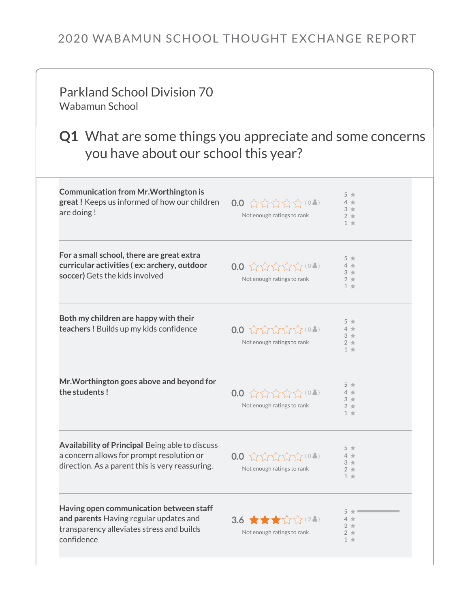## 2020 WABAMUN SCHOOL THOUGHT EXCHANGE REPORT

| <b>Parkland School Division 70</b><br>Wabamun School                                                                                                   |                                                                            |                                  |  |  |
|--------------------------------------------------------------------------------------------------------------------------------------------------------|----------------------------------------------------------------------------|----------------------------------|--|--|
| <b>Q1</b> What are some things you appreciate and some concerns<br>you have about our school this year?                                                |                                                                            |                                  |  |  |
| <b>Communication from Mr. Worthington is</b><br>great! Keeps us informed of how our children<br>are doing!                                             | $0.0$ ☆☆☆☆☆(04)<br>Not enough ratings to rank                              | $2 +$<br>$1 +$                   |  |  |
| For a small school, there are great extra<br>curricular activities (ex: archery, outdoor<br>soccer) Gets the kids involved                             | $0.0$ ☆☆☆☆☆(04)<br>Not enough ratings to rank                              | $2 +$<br>$1 +$                   |  |  |
| Both my children are happy with their<br>teachers! Builds up my kids confidence                                                                        | $0.0 \times 2 \times 2 \times 10$<br>Not enough ratings to rank            | $3 +$<br>$2 +$<br>$1 +$          |  |  |
| Mr. Worthington goes above and beyond for<br>the students!                                                                                             | $0.0 \; \text{W} \text{W} \text{W} \text{W}$<br>Not enough ratings to rank | $5 *$<br>$3 +$<br>$2 +$<br>$1 *$ |  |  |
| <b>Availability of Principal Being able to discuss</b><br>a concern allows for prompt resolution or<br>direction. As a parent this is very reassuring. | $0.0$ ☆☆☆☆☆(04)<br>Not enough ratings to rank                              | $3 +$<br>$2 +$<br>$1 +$          |  |  |
| Having open communication between staff<br>and parents Having regular updates and<br>transparency alleviates stress and builds<br>confidence           | 3.6 $\star \star \star \sim 2.$<br>Not enough ratings to rank              | $2 +$<br>$1 +$                   |  |  |